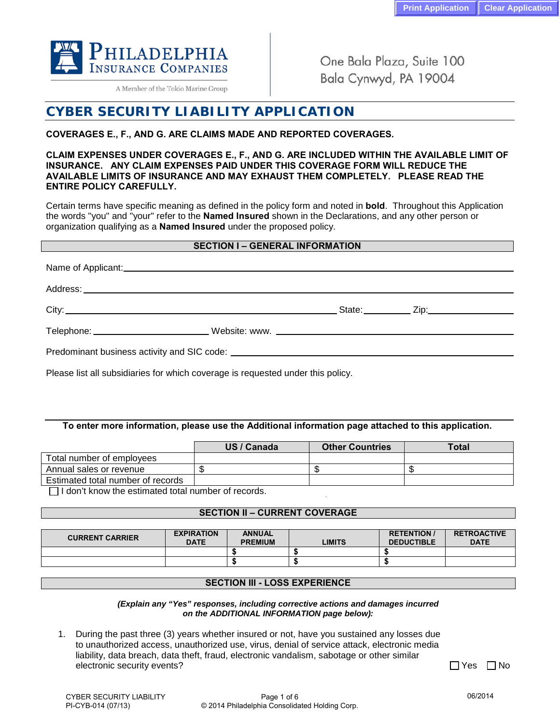

A Member of the Tokio Marine Group

One Bala Plaza, Suite 100 Bala Cynwyd, PA 19004

# **CYBER SECURITY LIABILITY APPLICATION**

## **COVERAGES E., F., AND G. ARE CLAIMS MADE AND REPORTED COVERAGES.**

**CLAIM EXPENSES UNDER COVERAGES E., F., AND G. ARE INCLUDED WITHIN THE AVAILABLE LIMIT OF INSURANCE. ANY CLAIM EXPENSES PAID UNDER THIS COVERAGE FORM WILL REDUCE THE AVAILABLE LIMITS OF INSURANCE AND MAY EXHAUST THEM COMPLETELY. PLEASE READ THE ENTIRE POLICY CAREFULLY.**

Certain terms have specific meaning as defined in the policy form and noted in **bold**.Throughout this Application the words "you" and "your" refer to the **Named Insured** shown in the Declarations, and any other person or organization qualifying as a **Named Insured** under the proposed policy.

#### **SECTION I – GENERAL INFORMATION**

|  |  |  | _State: ____________ Zip:____________________ |
|--|--|--|-----------------------------------------------|
|  |  |  |                                               |
|  |  |  |                                               |

Please list all subsidiaries for which coverage is requested under this policy.

### **To enter more information, please use the Additional information page attached to this application.**

|                                   | US / Canada | <b>Other Countries</b> | <b>Total</b> |
|-----------------------------------|-------------|------------------------|--------------|
| Total number of employees         |             |                        |              |
| Annual sales or revenue           |             |                        | - 11         |
| Estimated total number of records |             |                        |              |

 $\Box$  I don't know the estimated total number of records.

### **SECTION II – CURRENT COVERAGE**

| <b>CURRENT CARRIER</b> | <b>EXPIRATION</b><br><b>DATE</b> | <b>ANNUAL</b><br><b>PREMIUM</b> | <b>_IMITS</b> | <b>RETENTION</b><br><b>DEDUCTIBLE</b> | <b>RETROACTIVE</b><br><b>DATE</b> |
|------------------------|----------------------------------|---------------------------------|---------------|---------------------------------------|-----------------------------------|
|                        |                                  |                                 |               |                                       |                                   |
|                        |                                  |                                 |               |                                       |                                   |

#### **SECTION III - LOSS EXPERIENCE**

#### *(Explain any "Yes" responses, including corrective actions and damages incurred on the ADDITIONAL INFORMATION page below):*

1. During the past three (3) years whether insured or not, have you sustained any losses due to unauthorized access, unauthorized use, virus, denial of service attack, electronic media liability, data breach, data theft, fraud, electronic vandalism, sabotage or other similar electronic security events? The security events of the security events of the security events of the security events of the security events of the security events of the security events of the security events of the securi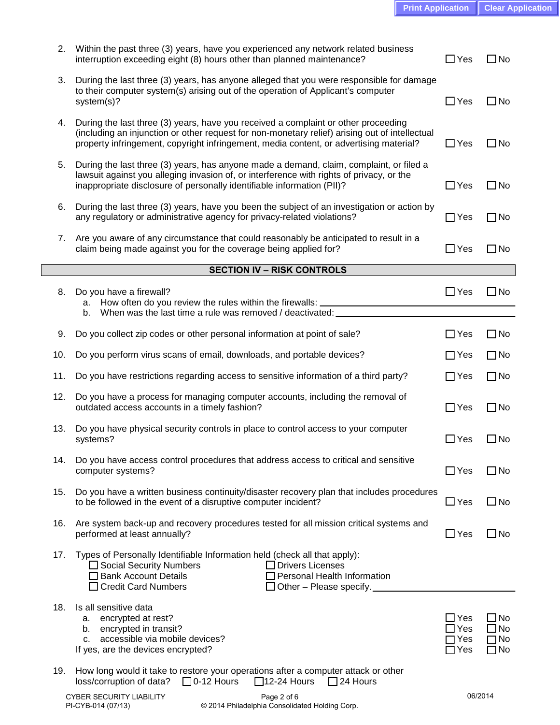| 2.  | Within the past three (3) years, have you experienced any network related business<br>interruption exceeding eight (8) hours other than planned maintenance?                                                                                                                                 | $\sqsupset$ Yes                                | $\square$ No                                              |
|-----|----------------------------------------------------------------------------------------------------------------------------------------------------------------------------------------------------------------------------------------------------------------------------------------------|------------------------------------------------|-----------------------------------------------------------|
| 3.  | During the last three (3) years, has anyone alleged that you were responsible for damage<br>to their computer system(s) arising out of the operation of Applicant's computer<br>system(s)?                                                                                                   |                                                | $\Box$ No                                                 |
| 4.  | During the last three (3) years, have you received a complaint or other proceeding<br>(including an injunction or other request for non-monetary relief) arising out of intellectual<br>$\Box$ Yes<br>property infringement, copyright infringement, media content, or advertising material? |                                                | $\square$ No                                              |
| 5.  | During the last three (3) years, has anyone made a demand, claim, complaint, or filed a<br>lawsuit against you alleging invasion of, or interference with rights of privacy, or the<br>inappropriate disclosure of personally identifiable information (PII)?                                | $\Box$ Yes                                     | $\Box$ No                                                 |
| 6.  | During the last three (3) years, have you been the subject of an investigation or action by<br>any regulatory or administrative agency for privacy-related violations?                                                                                                                       |                                                | $\Box$ No                                                 |
| 7.  | Are you aware of any circumstance that could reasonably be anticipated to result in a<br>claim being made against you for the coverage being applied for?                                                                                                                                    |                                                | $\square$ No                                              |
|     | <b>SECTION IV - RISK CONTROLS</b>                                                                                                                                                                                                                                                            |                                                |                                                           |
| 8.  | Do you have a firewall?<br>a. How often do you review the rules within the firewalls: _                                                                                                                                                                                                      | $\Box$ Yes                                     | $\square$ No                                              |
|     | When was the last time a rule was removed / deactivated:<br>b.                                                                                                                                                                                                                               |                                                |                                                           |
| 9.  | Do you collect zip codes or other personal information at point of sale?                                                                                                                                                                                                                     | $\Box$ Yes                                     | $\square$ No                                              |
| 10. | Do you perform virus scans of email, downloads, and portable devices?                                                                                                                                                                                                                        | $\Box$ Yes                                     | $\Box$ No                                                 |
| 11. | Do you have restrictions regarding access to sensitive information of a third party?                                                                                                                                                                                                         |                                                | $\Box$ No                                                 |
| 12. | Do you have a process for managing computer accounts, including the removal of<br>outdated access accounts in a timely fashion?                                                                                                                                                              | $\Box$ Yes                                     | $\Box$ No                                                 |
| 13. | Do you have physical security controls in place to control access to your computer<br>systems?                                                                                                                                                                                               | $\Box$ Yes                                     | $\square$ No                                              |
| 14. | Do you have access control procedures that address access to critical and sensitive<br>computer systems?                                                                                                                                                                                     | $\sqsupset$ Yes                                | $\Box$ No                                                 |
| 15. | Do you have a written business continuity/disaster recovery plan that includes procedures<br>to be followed in the event of a disruptive computer incident?                                                                                                                                  | $\Box$ Yes                                     | $\square$ No                                              |
| 16. | Are system back-up and recovery procedures tested for all mission critical systems and<br>performed at least annually?                                                                                                                                                                       | $\Box$ Yes                                     | $\square$ No                                              |
| 17. | Types of Personally Identifiable Information held (check all that apply):<br>$\square$ Drivers Licenses<br>$\Box$ Social Security Numbers<br>□ Bank Account Details<br>Personal Health Information<br>□ Credit Card Numbers<br>$\Box$ Other - Please specify.                                |                                                |                                                           |
| 18. | Is all sensitive data<br>a. encrypted at rest?<br>b. encrypted in transit?<br>c. accessible via mobile devices?<br>If yes, are the devices encrypted?                                                                                                                                        | $\Box$ Yes<br>$\sqsupset$ Yes<br>7 Yes<br>∃Yes | $\square$ No<br>$\square$ No<br>$\Box$ No<br>$\square$ No |
| 19. | How long would it take to restore your operations after a computer attack or other<br>loss/corruption of data? □ 0-12 Hours □ 12-24 Hours<br>$\Box$ 24 Hours                                                                                                                                 |                                                |                                                           |
|     |                                                                                                                                                                                                                                                                                              |                                                |                                                           |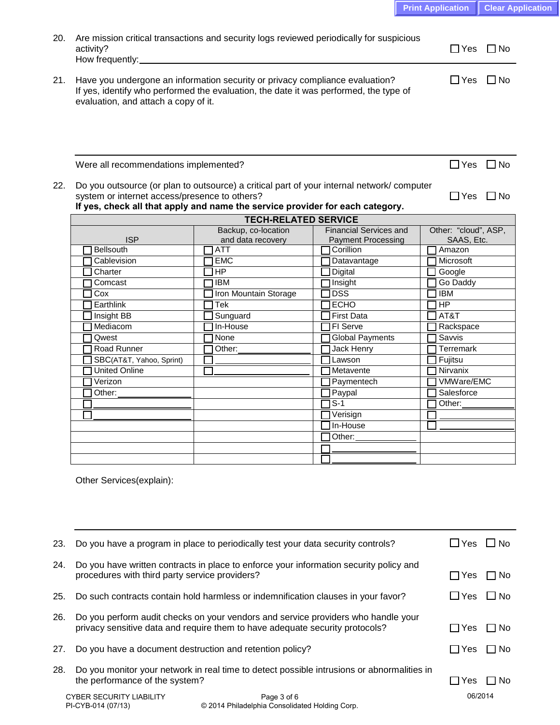|                                                                                                                                                                                                                             |                             |                                      | <b>Print Application</b><br><b>Clear Application</b> |
|-----------------------------------------------------------------------------------------------------------------------------------------------------------------------------------------------------------------------------|-----------------------------|--------------------------------------|------------------------------------------------------|
| Are mission critical transactions and security logs reviewed periodically for suspicious<br>activity?<br>How frequently:_                                                                                                   |                             |                                      | $\Box$ Yes $\Box$ No                                 |
| Have you undergone an information security or privacy compliance evaluation?<br>If yes, identify who performed the evaluation, the date it was performed, the type of<br>evaluation, and attach a copy of it.               |                             |                                      | $\Box$ No<br>$\Box$ Yes                              |
| Were all recommendations implemented?                                                                                                                                                                                       |                             |                                      | $\Box$ Yes $\Box$ No                                 |
| Do you outsource (or plan to outsource) a critical part of your internal network/computer<br>system or internet access/presence to others?<br>If yes, check all that apply and name the service provider for each category. |                             |                                      | $\Box$ Yes $\Box$ No                                 |
|                                                                                                                                                                                                                             | <b>TECH-RELATED SERVICE</b> |                                      |                                                      |
|                                                                                                                                                                                                                             | Backup, co-location         | <b>Financial Services and</b>        | Other: "cloud", ASP,                                 |
|                                                                                                                                                                                                                             |                             |                                      |                                                      |
| <b>ISP</b>                                                                                                                                                                                                                  | and data recovery           | <b>Payment Processing</b>            | SAAS, Etc.                                           |
| <b>Bellsouth</b>                                                                                                                                                                                                            | <b>ATT</b>                  | Corillion                            | Amazon                                               |
| Cablevision                                                                                                                                                                                                                 | <b>EMC</b>                  | Datavantage                          | Microsoft                                            |
| Charter                                                                                                                                                                                                                     | <b>HP</b><br><b>IBM</b>     | Digital                              | Google<br>П                                          |
| Comcast                                                                                                                                                                                                                     |                             | $\Box$ Insight<br><b>DSS</b>         | Go Daddy<br><b>IBM</b>                               |
| Cox                                                                                                                                                                                                                         | Iron Mountain Storage       |                                      |                                                      |
| Earthlink                                                                                                                                                                                                                   | Tek                         | <b>ТЕСНО</b><br>First Data           | <b>HP</b><br>AT&T                                    |
| Insight BB<br>Mediacom                                                                                                                                                                                                      | Sunguard<br>In-House        | <b>TFI Serve</b>                     |                                                      |
| Qwest                                                                                                                                                                                                                       | None                        |                                      | Rackspace<br>Savvis                                  |
| Road Runner                                                                                                                                                                                                                 | Other:                      | <b>Global Payments</b><br>Jack Henry | Terremark<br>$\blacksquare$                          |
| SBC(AT&T, Yahoo, Sprint)                                                                                                                                                                                                    |                             | Lawson                               | Fujitsu                                              |
| <b>United Online</b>                                                                                                                                                                                                        |                             | $\Box$ Metavente                     | Nirvanix                                             |
| Verizon                                                                                                                                                                                                                     |                             | $\Box$ Paymentech                    | VMWare/EMC                                           |
| Other:                                                                                                                                                                                                                      |                             | $\Box$ Paypal                        | Salesforce                                           |
|                                                                                                                                                                                                                             |                             | $S-1$                                | Other:                                               |
|                                                                                                                                                                                                                             |                             | Verisign                             |                                                      |
|                                                                                                                                                                                                                             |                             | In-House                             |                                                      |
|                                                                                                                                                                                                                             |                             | Other:                               |                                                      |
|                                                                                                                                                                                                                             |                             |                                      |                                                      |

| 23. | Do you have a program in place to periodically test your data security controls?                                                                                  |                                                                                        |            | $\square$ Yes<br>$\Box$ No |
|-----|-------------------------------------------------------------------------------------------------------------------------------------------------------------------|----------------------------------------------------------------------------------------|------------|----------------------------|
| 24. | procedures with third party service providers?                                                                                                                    | Do you have written contracts in place to enforce your information security policy and | IIYes      | l INo                      |
| 25. |                                                                                                                                                                   | Do such contracts contain hold harmless or indemnification clauses in your favor?      | $\Box$ Yes | l INo                      |
| 26. | Do you perform audit checks on your vendors and service providers who handle your<br>privacy sensitive data and require them to have adequate security protocols? |                                                                                        |            | l INo                      |
| 27. | Do you have a document destruction and retention policy?                                                                                                          |                                                                                        | I IYes     | l INo                      |
| 28. | Do you monitor your network in real time to detect possible intrusions or abnormalities in<br>the performance of the system?                                      |                                                                                        |            | l INo                      |
|     | <b>CYBER SECURITY LIABILITY</b><br>PI-CYB-014 (07/13)                                                                                                             | Page 3 of 6<br>© 2014 Philadelphia Consolidated Holding Corp.                          | 06/2014    |                            |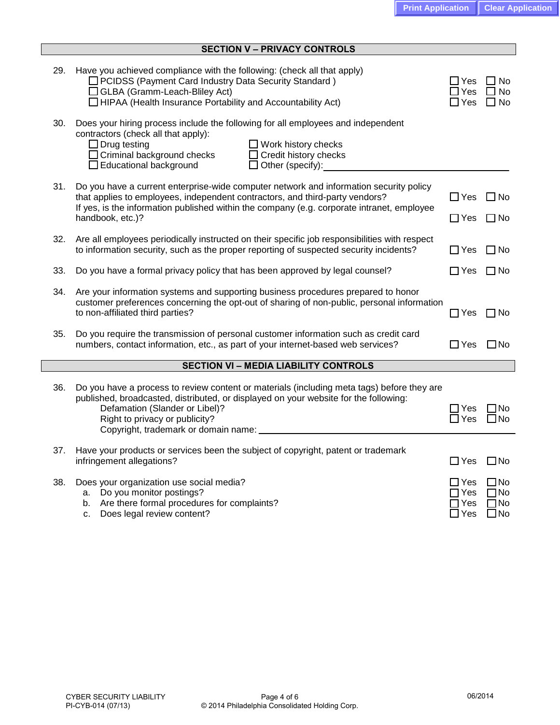|     | <b>SECTION V - PRIVACY CONTROLS</b>                                                                                                                                                                                                                                                                 |                               |                                                        |
|-----|-----------------------------------------------------------------------------------------------------------------------------------------------------------------------------------------------------------------------------------------------------------------------------------------------------|-------------------------------|--------------------------------------------------------|
| 29. | Have you achieved compliance with the following: (check all that apply)<br>□ PCIDSS (Payment Card Industry Data Security Standard)<br>□ GLBA (Gramm-Leach-Bliley Act)<br>□ HIPAA (Health Insurance Portability and Accountability Act)                                                              | ⊿ Yes<br>Yes<br>$\exists$ Yes | ⊿ No<br>$\square$ No<br>$\Box$ No                      |
| 30. | Does your hiring process include the following for all employees and independent<br>contractors (check all that apply):<br>$\Box$ Drug testing<br>$\Box$ Work history checks<br>□ Criminal background checks<br>□ Credit history checks<br>$\Box$ Educational background<br>$\Box$ Other (specify): |                               |                                                        |
| 31. | Do you have a current enterprise-wide computer network and information security policy<br>that applies to employees, independent contractors, and third-party vendors?<br>If yes, is the information published within the company (e.g. corporate intranet, employee<br>handbook, etc.)?            | $\Box$ Yes<br>∏Yes            | $\Box$ No<br>$\Box$ No                                 |
| 32. | Are all employees periodically instructed on their specific job responsibilities with respect<br>to information security, such as the proper reporting of suspected security incidents?                                                                                                             | $\Box$ Yes                    | $\Box$ No                                              |
| 33. | Do you have a formal privacy policy that has been approved by legal counsel?                                                                                                                                                                                                                        | $\Box$ Yes                    | $\Box$ No                                              |
| 34. | Are your information systems and supporting business procedures prepared to honor<br>customer preferences concerning the opt-out of sharing of non-public, personal information<br>to non-affiliated third parties?                                                                                 | ∐ Yes                         | $\Box$ No                                              |
| 35. | Do you require the transmission of personal customer information such as credit card<br>numbers, contact information, etc., as part of your internet-based web services?                                                                                                                            | $\Box$ Yes                    | $\Box$ No                                              |
|     | <b>SECTION VI - MEDIA LIABILITY CONTROLS</b>                                                                                                                                                                                                                                                        |                               |                                                        |
| 36. | Do you have a process to review content or materials (including meta tags) before they are<br>published, broadcasted, distributed, or displayed on your website for the following:<br>Defamation (Slander or Libel)?<br>Right to privacy or publicity?<br>Copyright, trademark or domain name:      | 7 Yes<br>⊿ Yes                | 1No<br>$\square$ No                                    |
| 37. | Have your products or services been the subject of copyright, patent or trademark<br>infringement allegations?                                                                                                                                                                                      | $\sqcup$ Yes                  | $\square$ No                                           |
| 38. | Does your organization use social media?<br>a. Do you monitor postings?<br>b. Are there formal procedures for complaints?<br>Does legal review content?<br>c.                                                                                                                                       | ∃Yes<br>RYes<br>7 Yes<br>Yes  | $\square$ No<br>$\Box$ No<br>$\Box$ No<br>$\square$ No |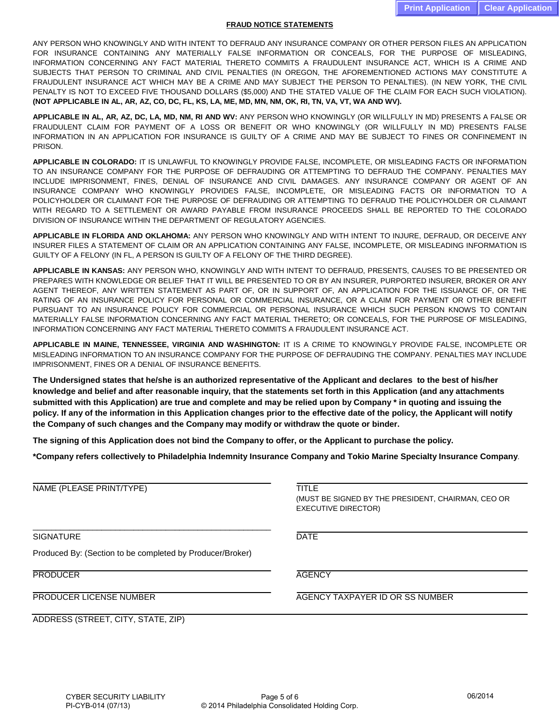#### **FRAUD NOTICE STATEMENTS**

ANY PERSON WHO KNOWINGLY AND WITH INTENT TO DEFRAUD ANY INSURANCE COMPANY OR OTHER PERSON FILES AN APPLICATION FOR INSURANCE CONTAINING ANY MATERIALLY FALSE INFORMATION OR CONCEALS, FOR THE PURPOSE OF MISLEADING, INFORMATION CONCERNING ANY FACT MATERIAL THERETO COMMITS A FRAUDULENT INSURANCE ACT, WHICH IS A CRIME AND SUBJECTS THAT PERSON TO CRIMINAL AND CIVIL PENALTIES (IN OREGON, THE AFOREMENTIONED ACTIONS MAY CONSTITUTE A FRAUDULENT INSURANCE ACT WHICH MAY BE A CRIME AND MAY SUBJECT THE PERSON TO PENALTIES). (IN NEW YORK, THE CIVIL PENALTY IS NOT TO EXCEED FIVE THOUSAND DOLLARS (\$5,000) AND THE STATED VALUE OF THE CLAIM FOR EACH SUCH VIOLATION). **(NOT APPLICABLE IN AL, AR, AZ, CO, DC, FL, KS, LA, ME, MD, MN, NM, OK, RI, TN, VA, VT, WA AND WV).**

**APPLICABLE IN AL, AR, AZ, DC, LA, MD, NM, RI AND WV:** ANY PERSON WHO KNOWINGLY (OR WILLFULLY IN MD) PRESENTS A FALSE OR FRAUDULENT CLAIM FOR PAYMENT OF A LOSS OR BENEFIT OR WHO KNOWINGLY (OR WILLFULLY IN MD) PRESENTS FALSE INFORMATION IN AN APPLICATION FOR INSURANCE IS GUILTY OF A CRIME AND MAY BE SUBJECT TO FINES OR CONFINEMENT IN PRISON.

**APPLICABLE IN COLORADO:** IT IS UNLAWFUL TO KNOWINGLY PROVIDE FALSE, INCOMPLETE, OR MISLEADING FACTS OR INFORMATION TO AN INSURANCE COMPANY FOR THE PURPOSE OF DEFRAUDING OR ATTEMPTING TO DEFRAUD THE COMPANY. PENALTIES MAY INCLUDE IMPRISONMENT, FINES, DENIAL OF INSURANCE AND CIVIL DAMAGES. ANY INSURANCE COMPANY OR AGENT OF AN INSURANCE COMPANY WHO KNOWINGLY PROVIDES FALSE, INCOMPLETE, OR MISLEADING FACTS OR INFORMATION TO A POLICYHOLDER OR CLAIMANT FOR THE PURPOSE OF DEFRAUDING OR ATTEMPTING TO DEFRAUD THE POLICYHOLDER OR CLAIMANT WITH REGARD TO A SETTLEMENT OR AWARD PAYABLE FROM INSURANCE PROCEEDS SHALL BE REPORTED TO THE COLORADO DIVISION OF INSURANCE WITHIN THE DEPARTMENT OF REGULATORY AGENCIES.

**APPLICABLE IN FLORIDA AND OKLAHOMA:** ANY PERSON WHO KNOWINGLY AND WITH INTENT TO INJURE, DEFRAUD, OR DECEIVE ANY INSURER FILES A STATEMENT OF CLAIM OR AN APPLICATION CONTAINING ANY FALSE, INCOMPLETE, OR MISLEADING INFORMATION IS GUILTY OF A FELONY (IN FL, A PERSON IS GUILTY OF A FELONY OF THE THIRD DEGREE).

**APPLICABLE IN KANSAS:** ANY PERSON WHO, KNOWINGLY AND WITH INTENT TO DEFRAUD, PRESENTS, CAUSES TO BE PRESENTED OR PREPARES WITH KNOWLEDGE OR BELIEF THAT IT WILL BE PRESENTED TO OR BY AN INSURER, PURPORTED INSURER, BROKER OR ANY AGENT THEREOF, ANY WRITTEN STATEMENT AS PART OF, OR IN SUPPORT OF, AN APPLICATION FOR THE ISSUANCE OF, OR THE RATING OF AN INSURANCE POLICY FOR PERSONAL OR COMMERCIAL INSURANCE, OR A CLAIM FOR PAYMENT OR OTHER BENEFIT PURSUANT TO AN INSURANCE POLICY FOR COMMERCIAL OR PERSONAL INSURANCE WHICH SUCH PERSON KNOWS TO CONTAIN MATERIALLY FALSE INFORMATION CONCERNING ANY FACT MATERIAL THERETO; OR CONCEALS, FOR THE PURPOSE OF MISLEADING, INFORMATION CONCERNING ANY FACT MATERIAL THERETO COMMITS A FRAUDULENT INSURANCE ACT.

**APPLICABLE IN MAINE, TENNESSEE, VIRGINIA AND WASHINGTON:** IT IS A CRIME TO KNOWINGLY PROVIDE FALSE, INCOMPLETE OR MISLEADING INFORMATION TO AN INSURANCE COMPANY FOR THE PURPOSE OF DEFRAUDING THE COMPANY. PENALTIES MAY INCLUDE IMPRISONMENT, FINES OR A DENIAL OF INSURANCE BENEFITS.

**The Undersigned states that he/she is an authorized representative of the Applicant and declares to the best of his/her knowledge and belief and after reasonable inquiry, that the statements set forth in this Application (and any attachments submitted with this Application) are true and complete and may be relied upon by Company \* in quoting and issuing the policy. If any of the information in this Application changes prior to the effective date of the policy, the Applicant will notify the Company of such changes and the Company may modify or withdraw the quote or binder.** 

**The signing of this Application does not bind the Company to offer, or the Applicant to purchase the policy.** 

**\*Company refers collectively to Philadelphia Indemnity Insurance Company and Tokio Marine Specialty Insurance Company**.

| NAME (PLEASE PRINT/TYPE)                                  | <b>TITLE</b><br>(MUST BE SIGNED BY THE PRESIDENT, CHAIRMAN, CEO OR<br>EXECUTIVE DIRECTOR) |
|-----------------------------------------------------------|-------------------------------------------------------------------------------------------|
| <b>SIGNATURE</b>                                          | <b>DATE</b>                                                                               |
| Produced By: (Section to be completed by Producer/Broker) |                                                                                           |
| <b>PRODUCER</b>                                           | <b>AGENCY</b>                                                                             |
| PRODUCER LICENSE NUMBER                                   | AGENCY TAXPAYER ID OR SS NUMBER                                                           |
| ADDRESS (STREET, CITY, STATE, ZIP)                        |                                                                                           |